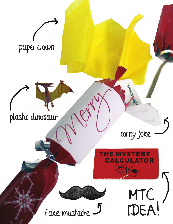

# plastic dinosaur

corny joke

MTC<br>IDEA!

# **THE MYSTERY CALCULATOR**

Fake mustache J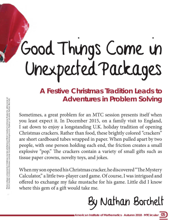# Good Things Come in Unexpected Packages

**A Festive Christmas Tradition Leads to Adventures in Problem Solving**

Sometimes, a great problem for an MTC session presents itself when you least expect it. In December 2015, on a family visit to England, I sat down to enjoy a longstanding U.K. holiday tradition of opening Christmas crackers. Rather than food, these brightly colored "crackers" are short cardboard tubes wrapped in paper. When pulled apart by two people, with one person holding each end, the friction creates a small explosive "pop." The crackers contain a variety of small gifts such as tissue paper crowns, novelty toys, and jokes.

When my son opened his Christmas cracker, he discovered "The Mystery Calculator," a little two-player card game. Of course, I was intrigued and offered to exchange my fake mustache for his game. Little did I know where this gem of a gift would take me.

By Nathan Borchelt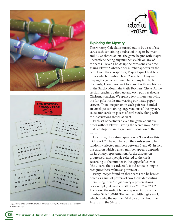



Top. a stack of unopened Christmas crackers. Above, the contents of the "Mystery *Calculator" toy.* 



#### **Exploring the Mystery**

The Mystery Calculator turned out to be a set of six cards each containing a subset of integers between 1 and 63, as shown at left. The game begins with Player 2 secretly selecting any number visible on any of the cards. Player 1 holds up the cards one at a time, asking Player 2 whether her number appears on the card. From these responses, Player 1 quickly determines which number Player 2 selected. I enjoyed playing the game with members of my family, but obviously, I could not wait to share it with my friends in the Smoky Mountain Math Teachers' Circle. At the session, teachers paired up and each pair received a Christmas cracker. We spent a few minutes enjoying the fun gifts inside and wearing our tissue paper crowns. Then one person in each pair was handed an envelope containing large versions of the mystery calculator cards on pieces of card stock, along with the instructions shown at right.

Each set of partners played the game about five times without Player 1 giving the secret away. After that, we stopped and began our discussion of the game.

Of course, the natural question is "How does this trick work?" The numbers on the cards seem to be randomly selected numbers between 1 and 63. In fact, the card on which a given number appears depends on its binary representation. As the discussion progressed, most people referred to the cards according to the number in the upper left corner (the 2-card, the 4-card, etc.). It did not take long to recognize these values as powers of 2.

Every integer found on these cards can be broken down as a sum of powers of two. Consider writing them using their 6-digit binary representations. For example, 34 can be written as  $2^5 + 2^1 = 32 + 2$ . Therefore, the 6-digit binary representation of the number 34 is 100010. The first and fifth digits are 1, which is why the number 34 shows up on both the 2-card and the 32-card.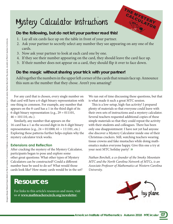# Mystery Calculator Instructions

# **Do the following, but do not let your partner read this!**

- 1. Lay all six cards face up on the table in front of your partner.
- 2. Ask your partner to secretly select any number they see appearing on any one of the cards.
- 3. Now ask your partner to look at each card one by one.
- 4. If they see their number appearing on the card, they should leave the card face up.
- 5. If their number does not appear on a card, they should flip it over to face down.

## **Do the magic without sharing your trick with your partner!**

Add together the numbers in the upper left corner of the cards that remain face up. Announce this sum as the number that they chose. Aren't you amazing?

For any card that is chosen, every single number on that card will have a 6-digit binary representation with one thing in common. For example, any number that appears on the 8-card has a 1 in the third digit of its 6-digit binary representation (e.g.,  $29 = 011101$ ,  $46 = 101110$ , etc.).

Similarly, any number that appears on the 16-card has a 1 as the second digit in its 6-digit binary representation (e.g., 24 = 011000, 61 = 111101, etc.) Exploring these patterns further helps explain why the mystery calculator trick works.

### **Extensions and Reflection**

After cracking the mystery of the Mystery Calculator, participants began to pose and explore some other great questions: What other types of Mystery Calculators can be constructed? Could a different number base be used to do so? What would those cards look like? How many cards would be in the set?

# **Resources**

For links to this article's resources and more, visit us at **www.mathteacherscircle.org/newsletter**.

We ran out of time discussing these questions, but that is what made it such a great MTC session.

THE MYSTERY

This is a low-setup, high-fun activity! I prepared plenty of materials so that everyone could leave with their own sets of instructions and a mystery calculator. Several teachers requested additional copies of these simple materials so that they could repeat the activity with their students and colleagues. There has been only one disappointment: I have not yet had anyone else discover a Mystery Calculator inside one of their Christmas crackers. Still, watching teachers wearing tissue crowns and fake mustaches while doing mathematics makes everyone happy. Give this one a try at your next MTC holiday party! <sup>⊆</sup>

*Nathan Borchelt, a co-founder of the Smoky Mountain MTC and the North Carolina Network of MTCs, is an Associate Professor of Mathematics at Western Carolina University.*

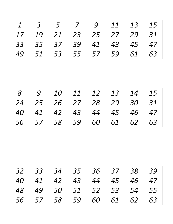| $\boldsymbol{\mathit{1}}$ | $\overline{3}$ | 5         | 7  | 9  | 11 | 13 | 15 |
|---------------------------|----------------|-----------|----|----|----|----|----|
| 17                        | 19             | 21        | 23 | 25 | 27 | 29 | 31 |
| 33                        | 35             | 37        | 39 | 41 | 43 | 45 | 47 |
| 49                        | 51             | 53        | 55 | 57 | 59 | 61 | 63 |
|                           |                |           |    |    |    |    |    |
|                           |                |           |    |    |    |    |    |
|                           |                |           |    |    |    |    |    |
| 8                         | 9              | <i>10</i> | 11 | 12 | 13 | 14 | 15 |
| 24                        | 25             | 26        | 27 | 28 | 29 | 30 | 31 |
| <i>40</i>                 | 41             | 42        | 43 | 44 | 45 | 46 | 47 |
| 56                        | 57             | 58        | 59 | 60 | 61 | 62 | 63 |

|  |  | 32 33 34 35 36 37 38 39 |  |  |
|--|--|-------------------------|--|--|
|  |  | 40 41 42 43 44 45 46 47 |  |  |
|  |  | 48 49 50 51 52 53 54 55 |  |  |
|  |  | 56 57 58 59 60 61 62 63 |  |  |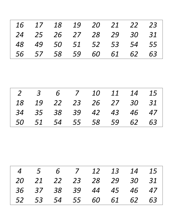| <i>16</i>      | 17             | 18 | 19 | <i>20</i> | 21 | 22 | 23        |
|----------------|----------------|----|----|-----------|----|----|-----------|
| 24             | 25             | 26 | 27 | 28        | 29 | 30 | 31        |
| 48             | 49             | 50 | 51 | 52        | 53 | 54 | 55        |
| 56             | 57             | 58 | 59 | <i>60</i> | 61 | 62 | 63        |
|                |                |    |    |           |    |    |           |
|                |                |    |    |           |    |    |           |
|                |                |    |    |           |    |    |           |
| $\overline{2}$ | $\overline{3}$ | 6  | 7  | <i>10</i> | 11 | 14 | 15        |
| 18             | 19             | 22 | 23 | 26        | 27 | 30 | 31        |
| 34             | 35             | 38 | 39 | 42        | 43 | 46 | 47        |
| <i>50</i>      | 51             | 54 | 55 | 58        | 59 | 62 | <i>63</i> |

|  |  | 4 5 6 7 12 13 14 15     |  |  |
|--|--|-------------------------|--|--|
|  |  | 20 21 22 23 28 29 30 31 |  |  |
|  |  | 36 37 38 39 44 45 46 47 |  |  |
|  |  | 52 53 54 55 60 61 62 63 |  |  |